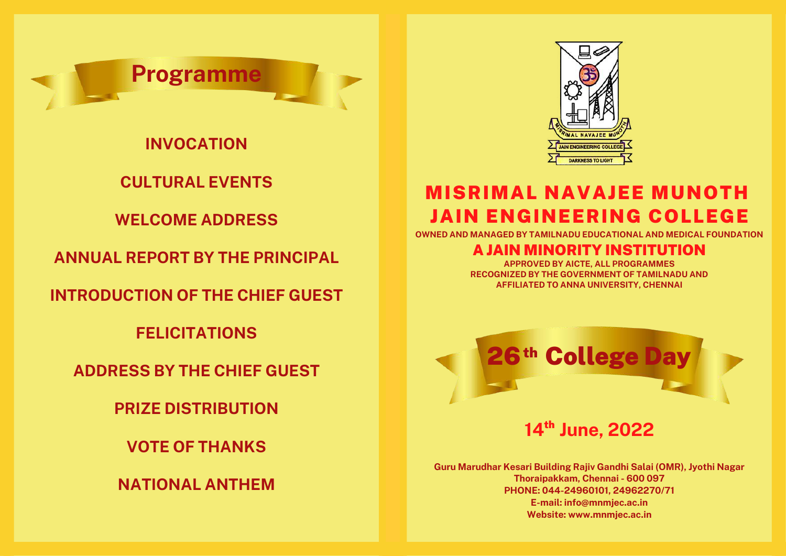

**INVOCATION**

**CULTURAL EVENTS**

**WELCOME ADDRESS**

**ANNUAL REPORT BY THE PRINCIPAL**

**INTRODUCTION OF THE CHIEF GUEST**

**FELICITATIONS**

**ADDRESS BY THE CHIEF GUEST**

**PRIZE DISTRIBUTION**

**VOTE OF THANKS**

**NATIONAL ANTHEM**



### MISRIMAL NAVAJEE MUNOTH JAIN ENGINEERING COLLEGE

**OWNED AND MANAGED BY TAMILNADU EDUCATIONAL AND MEDICAL FOUNDATION**

#### A JAIN MINORITY INSTITUTION

**APPROVED BY AICTE, ALL PROGRAMMES RECOGNIZED BY THE GOVERNMENT OF TAMILNADU AND AFFILIATED TO ANNA UNIVERSITY, CHENNAI**



14<sup>th</sup> June, 2022

**Guru Marudhar Kesari Building Rajiv Gandhi Salai (OMR), Jyothi Nagar Thoraipakkam, Chennai - 600 097 PHONE: 044-24960101, 24962270/71 E-mail: info@mnmjec.ac.in Website: www.mnmjec.ac.in**